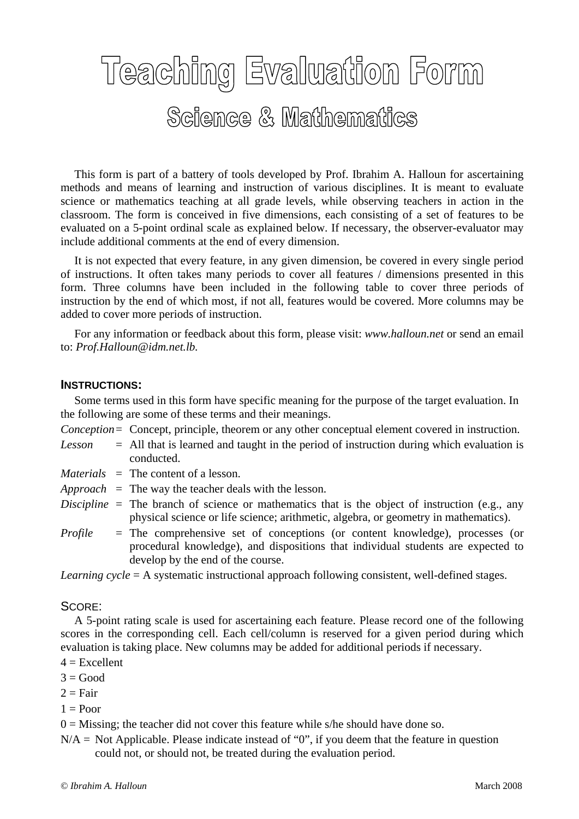## Teaching Evaluation Form Science & Mathematics

 This form is part of a battery of tools developed by Prof. Ibrahim A. Halloun for ascertaining methods and means of learning and instruction of various disciplines. It is meant to evaluate science or mathematics teaching at all grade levels, while observing teachers in action in the classroom. The form is conceived in five dimensions, each consisting of a set of features to be evaluated on a 5-point ordinal scale as explained below. If necessary, the observer-evaluator may include additional comments at the end of every dimension.

 It is not expected that every feature, in any given dimension, be covered in every single period of instructions. It often takes many periods to cover all features / dimensions presented in this form. Three columns have been included in the following table to cover three periods of instruction by the end of which most, if not all, features would be covered. More columns may be added to cover more periods of instruction.

 For any information or feedback about this form, please visit: *www.halloun.net* or send an email to: *Prof.Halloun@idm.net.lb.*

## **INSTRUCTIONS:**

 Some terms used in this form have specific meaning for the purpose of the target evaluation. In the following are some of these terms and their meanings.

- *Conception* = Concept, principle, theorem or any other conceptual element covered in instruction.
- *Lesson* = All that is learned and taught in the period of instruction during which evaluation is conducted.
- *Materials* = The content of a lesson.
- *Approach* = The way the teacher deals with the lesson.
- *Discipline* = The branch of science or mathematics that is the object of instruction (e.g., any physical science or life science; arithmetic, algebra, or geometry in mathematics).
- *Profile* = The comprehensive set of conceptions (or content knowledge), processes (or procedural knowledge), and dispositions that individual students are expected to develop by the end of the course.

*Learning cycle* = A systematic instructional approach following consistent, well-defined stages.

## SCORE:

 A 5-point rating scale is used for ascertaining each feature. Please record one of the following scores in the corresponding cell. Each cell/column is reserved for a given period during which evaluation is taking place. New columns may be added for additional periods if necessary.

- $4 =$ Excellent
- $3 = Good$
- $2 = \text{Fair}$
- $1 =$ Poor

 $0 =$  Missing; the teacher did not cover this feature while s/he should have done so.

 $N/A$  = Not Applicable. Please indicate instead of "0", if you deem that the feature in question could not, or should not, be treated during the evaluation period.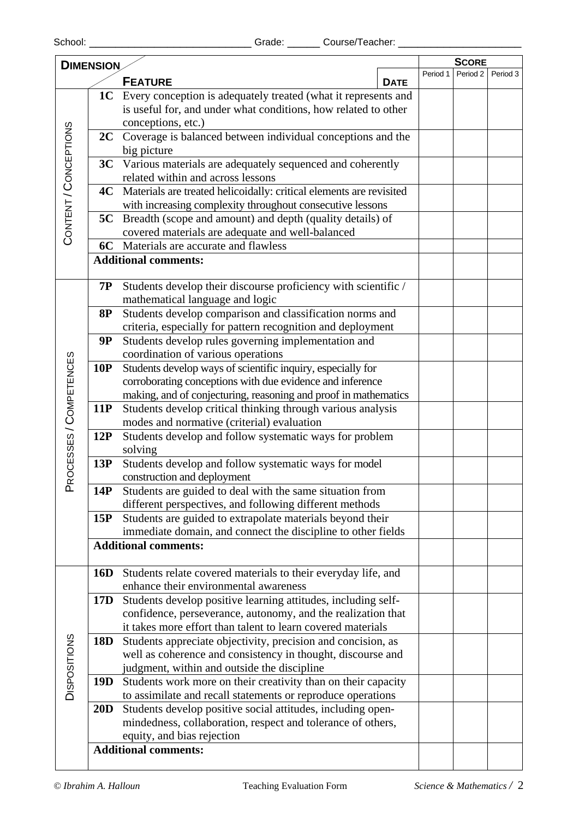| <b>DIMENSION</b>        |                 |                                                                          |             |          | <b>SCORE</b>        |  |  |
|-------------------------|-----------------|--------------------------------------------------------------------------|-------------|----------|---------------------|--|--|
|                         |                 |                                                                          | Period 1    | Period 2 | Period <sub>3</sub> |  |  |
|                         |                 | <b>FEATURE</b>                                                           | <b>DATE</b> |          |                     |  |  |
|                         |                 | <b>1C</b> Every conception is adequately treated (what it represents and |             |          |                     |  |  |
|                         |                 | is useful for, and under what conditions, how related to other           |             |          |                     |  |  |
| CONTENT / CONCEPTIONS   |                 | conceptions, etc.)                                                       |             |          |                     |  |  |
|                         |                 | 2C Coverage is balanced between individual conceptions and the           |             |          |                     |  |  |
|                         |                 | big picture                                                              |             |          |                     |  |  |
|                         |                 | 3C Various materials are adequately sequenced and coherently             |             |          |                     |  |  |
|                         |                 | related within and across lessons                                        |             |          |                     |  |  |
|                         | 4C              | Materials are treated helicoidally: critical elements are revisited      |             |          |                     |  |  |
|                         |                 | with increasing complexity throughout consecutive lessons                |             |          |                     |  |  |
|                         |                 | <b>5C</b> Breadth (scope and amount) and depth (quality details) of      |             |          |                     |  |  |
|                         |                 | covered materials are adequate and well-balanced                         |             |          |                     |  |  |
|                         |                 | 6C Materials are accurate and flawless                                   |             |          |                     |  |  |
|                         |                 | <b>Additional comments:</b>                                              |             |          |                     |  |  |
|                         | <b>7P</b>       | Students develop their discourse proficiency with scientific /           |             |          |                     |  |  |
|                         |                 | mathematical language and logic                                          |             |          |                     |  |  |
|                         | <b>8P</b>       | Students develop comparison and classification norms and                 |             |          |                     |  |  |
|                         |                 | criteria, especially for pattern recognition and deployment              |             |          |                     |  |  |
|                         | <b>9P</b>       | Students develop rules governing implementation and                      |             |          |                     |  |  |
|                         |                 | coordination of various operations                                       |             |          |                     |  |  |
|                         | <b>10P</b>      | Students develop ways of scientific inquiry, especially for              |             |          |                     |  |  |
|                         |                 | corroborating conceptions with due evidence and inference                |             |          |                     |  |  |
|                         |                 | making, and of conjecturing, reasoning and proof in mathematics          |             |          |                     |  |  |
| PROCESSES / COMPETENCES | 11P             | Students develop critical thinking through various analysis              |             |          |                     |  |  |
|                         |                 | modes and normative (criterial) evaluation                               |             |          |                     |  |  |
|                         | 12P             | Students develop and follow systematic ways for problem                  |             |          |                     |  |  |
|                         |                 | solving                                                                  |             |          |                     |  |  |
|                         | 13P             | Students develop and follow systematic ways for model                    |             |          |                     |  |  |
|                         |                 | construction and deployment                                              |             |          |                     |  |  |
|                         | 14P             | Students are guided to deal with the same situation from                 |             |          |                     |  |  |
|                         |                 | different perspectives, and following different methods                  |             |          |                     |  |  |
|                         | 15P             | Students are guided to extrapolate materials beyond their                |             |          |                     |  |  |
|                         |                 | immediate domain, and connect the discipline to other fields             |             |          |                     |  |  |
|                         |                 | <b>Additional comments:</b>                                              |             |          |                     |  |  |
|                         |                 |                                                                          |             |          |                     |  |  |
|                         | 16D             | Students relate covered materials to their everyday life, and            |             |          |                     |  |  |
|                         |                 | enhance their environmental awareness                                    |             |          |                     |  |  |
|                         | 17 <sub>D</sub> | Students develop positive learning attitudes, including self-            |             |          |                     |  |  |
| <b>DISPOSITIONS</b>     |                 | confidence, perseverance, autonomy, and the realization that             |             |          |                     |  |  |
|                         |                 | it takes more effort than talent to learn covered materials              |             |          |                     |  |  |
|                         | <b>18D</b>      | Students appreciate objectivity, precision and concision, as             |             |          |                     |  |  |
|                         |                 | well as coherence and consistency in thought, discourse and              |             |          |                     |  |  |
|                         |                 | judgment, within and outside the discipline                              |             |          |                     |  |  |
|                         | 19 <sub>D</sub> | Students work more on their creativity than on their capacity            |             |          |                     |  |  |
|                         |                 | to assimilate and recall statements or reproduce operations              |             |          |                     |  |  |
|                         | <b>20D</b>      | Students develop positive social attitudes, including open-              |             |          |                     |  |  |
|                         |                 | mindedness, collaboration, respect and tolerance of others,              |             |          |                     |  |  |
|                         |                 | equity, and bias rejection                                               |             |          |                     |  |  |
|                         |                 | <b>Additional comments:</b>                                              |             |          |                     |  |  |
|                         |                 |                                                                          |             |          |                     |  |  |